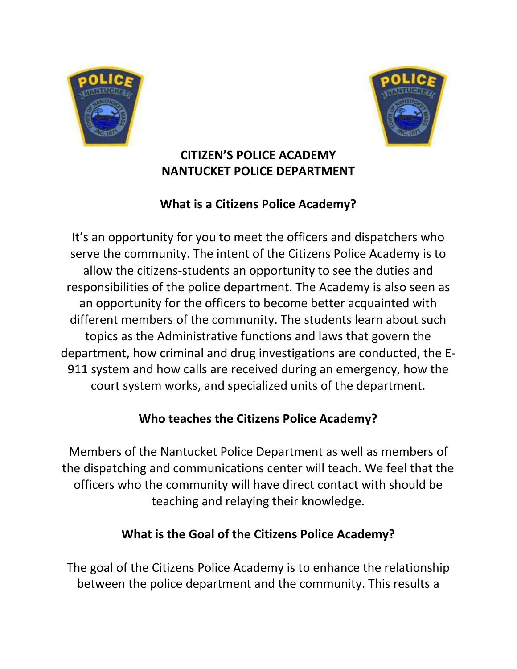



### **CITIZEN'S POLICE ACADEMY NANTUCKET POLICE DEPARTMENT**

# **What is a Citizens Police Academy?**

It's an opportunity for you to meet the officers and dispatchers who serve the community. The intent of the Citizens Police Academy is to allow the citizens-students an opportunity to see the duties and responsibilities of the police department. The Academy is also seen as an opportunity for the officers to become better acquainted with different members of the community. The students learn about such topics as the Administrative functions and laws that govern the department, how criminal and drug investigations are conducted, the E-911 system and how calls are received during an emergency, how the court system works, and specialized units of the department.

# **Who teaches the Citizens Police Academy?**

Members of the Nantucket Police Department as well as members of the dispatching and communications center will teach. We feel that the officers who the community will have direct contact with should be teaching and relaying their knowledge.

# **What is the Goal of the Citizens Police Academy?**

The goal of the Citizens Police Academy is to enhance the relationship between the police department and the community. This results a